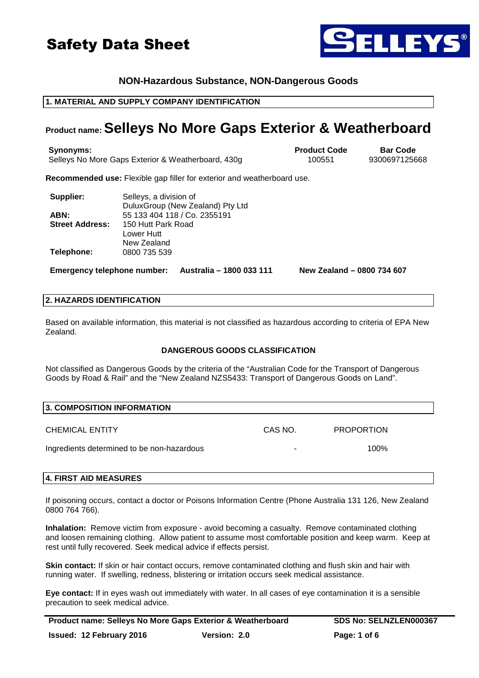



# **NON-Hazardous Substance, NON-Dangerous Goods**

# **1. MATERIAL AND SUPPLY COMPANY IDENTIFICATION**

# **Product name: Selleys No More Gaps Exterior & Weatherboard**

**Synonyms: Product Code Bar Code** Selleys No More Gaps Exterior & Weatherboard, 430g 100551 9300697125668

**Recommended use:** Flexible gap filler for exterior and weatherboard use.

| Supplier:              | Selleys, a division of           |
|------------------------|----------------------------------|
|                        | DuluxGroup (New Zealand) Pty Ltd |
| ABN:                   | 55 133 404 118 / Co. 2355191     |
| <b>Street Address:</b> | 150 Hutt Park Road               |
|                        | Lower Hutt                       |
|                        | New Zealand                      |
| Telephone:             | 0800 735 539                     |

**Emergency telephone number: Australia – 1800 033 111 New Zealand – 0800 734 607** 

#### **2. HAZARDS IDENTIFICATION**

Based on available information, this material is not classified as hazardous according to criteria of EPA New Zealand.

## **DANGEROUS GOODS CLASSIFICATION**

Not classified as Dangerous Goods by the criteria of the "Australian Code for the Transport of Dangerous Goods by Road & Rail" and the "New Zealand NZS5433: Transport of Dangerous Goods on Land".

| 3. COMPOSITION INFORMATION                 |         |                   |  |
|--------------------------------------------|---------|-------------------|--|
| <b>CHEMICAL ENTITY</b>                     | CAS NO. | <b>PROPORTION</b> |  |
| Ingredients determined to be non-hazardous | -       | $100\%$           |  |

# **4. FIRST AID MEASURES**

If poisoning occurs, contact a doctor or Poisons Information Centre (Phone Australia 131 126, New Zealand 0800 764 766).

**Inhalation:** Remove victim from exposure - avoid becoming a casualty. Remove contaminated clothing and loosen remaining clothing. Allow patient to assume most comfortable position and keep warm. Keep at rest until fully recovered. Seek medical advice if effects persist.

**Skin contact:** If skin or hair contact occurs, remove contaminated clothing and flush skin and hair with running water. If swelling, redness, blistering or irritation occurs seek medical assistance.

**Eye contact:** If in eyes wash out immediately with water. In all cases of eye contamination it is a sensible precaution to seek medical advice.

**Product name: Selleys No More Gaps Exterior & Weatherboard SDS No: SELNZLEN000367 Issued: 12 February 2016 Version: 2.0 Page: 1 of 6**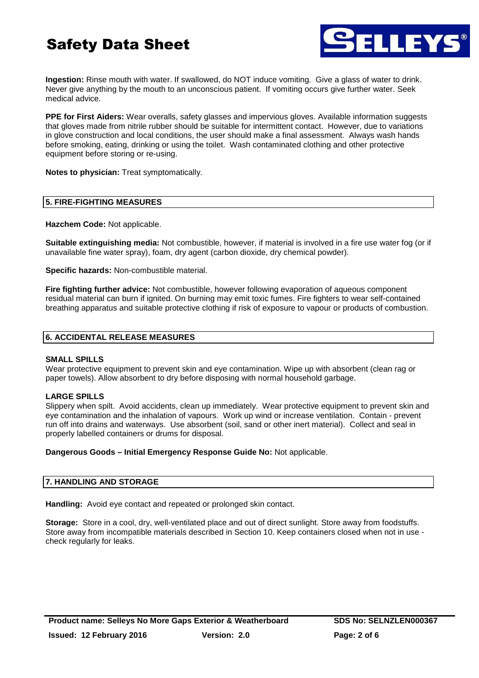

**Ingestion:** Rinse mouth with water. If swallowed, do NOT induce vomiting. Give a glass of water to drink. Never give anything by the mouth to an unconscious patient. If vomiting occurs give further water. Seek medical advice.

**PPE for First Aiders:** Wear overalls, safety glasses and impervious gloves. Available information suggests that gloves made from nitrile rubber should be suitable for intermittent contact. However, due to variations in glove construction and local conditions, the user should make a final assessment. Always wash hands before smoking, eating, drinking or using the toilet. Wash contaminated clothing and other protective equipment before storing or re-using.

**Notes to physician:** Treat symptomatically.

# **5. FIRE-FIGHTING MEASURES**

**Hazchem Code:** Not applicable.

**Suitable extinguishing media:** Not combustible, however, if material is involved in a fire use water fog (or if unavailable fine water spray), foam, dry agent (carbon dioxide, dry chemical powder).

**Specific hazards:** Non-combustible material.

**Fire fighting further advice:** Not combustible, however following evaporation of aqueous component residual material can burn if ignited. On burning may emit toxic fumes. Fire fighters to wear self-contained breathing apparatus and suitable protective clothing if risk of exposure to vapour or products of combustion.

# **6. ACCIDENTAL RELEASE MEASURES**

## **SMALL SPILLS**

Wear protective equipment to prevent skin and eye contamination. Wipe up with absorbent (clean rag or paper towels). Allow absorbent to dry before disposing with normal household garbage.

## **LARGE SPILLS**

Slippery when spilt. Avoid accidents, clean up immediately. Wear protective equipment to prevent skin and eye contamination and the inhalation of vapours. Work up wind or increase ventilation. Contain - prevent run off into drains and waterways. Use absorbent (soil, sand or other inert material). Collect and seal in properly labelled containers or drums for disposal.

## **Dangerous Goods – Initial Emergency Response Guide No:** Not applicable.

## **7. HANDLING AND STORAGE**

**Handling:** Avoid eye contact and repeated or prolonged skin contact.

**Storage:** Store in a cool, dry, well-ventilated place and out of direct sunlight. Store away from foodstuffs. Store away from incompatible materials described in Section 10. Keep containers closed when not in use check regularly for leaks.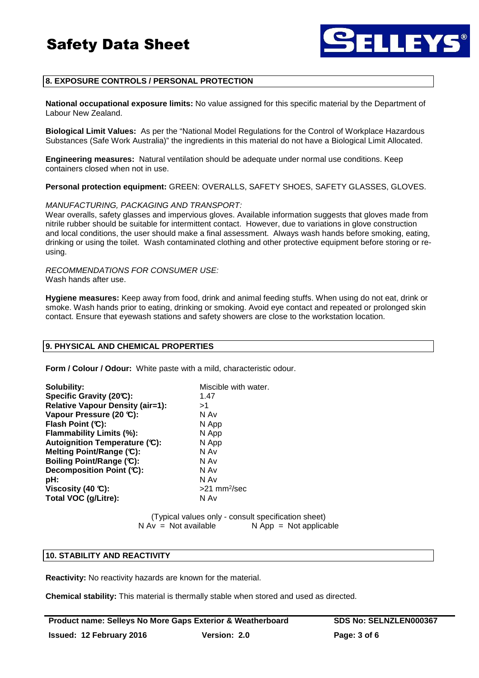

# **8. EXPOSURE CONTROLS / PERSONAL PROTECTION**

**National occupational exposure limits:** No value assigned for this specific material by the Department of Labour New Zealand.

**Biological Limit Values:** As per the "National Model Regulations for the Control of Workplace Hazardous Substances (Safe Work Australia)" the ingredients in this material do not have a Biological Limit Allocated.

**Engineering measures:** Natural ventilation should be adequate under normal use conditions. Keep containers closed when not in use.

**Personal protection equipment:** GREEN: OVERALLS, SAFETY SHOES, SAFETY GLASSES, GLOVES.

#### MANUFACTURING, PACKAGING AND TRANSPORT:

Wear overalls, safety glasses and impervious gloves. Available information suggests that gloves made from nitrile rubber should be suitable for intermittent contact. However, due to variations in glove construction and local conditions, the user should make a final assessment. Always wash hands before smoking, eating, drinking or using the toilet. Wash contaminated clothing and other protective equipment before storing or reusing.

RECOMMENDATIONS FOR CONSUMER USE: Wash hands after use.

**Hygiene measures:** Keep away from food, drink and animal feeding stuffs. When using do not eat, drink or smoke. Wash hands prior to eating, drinking or smoking. Avoid eye contact and repeated or prolonged skin contact. Ensure that eyewash stations and safety showers are close to the workstation location.

#### **9. PHYSICAL AND CHEMICAL PROPERTIES**

**Form / Colour / Odour:** White paste with a mild, characteristic odour.

| Solubility:                             | Miscible with water.       |
|-----------------------------------------|----------------------------|
| Specific Gravity (20°C):                | 1.47                       |
| <b>Relative Vapour Density (air=1):</b> | >1                         |
| Vapour Pressure (20 °C):                | N Av                       |
| Flash Point (C):                        | N App                      |
| Flammability Limits (%):                | N App                      |
| Autoignition Temperature (C):           | N App                      |
| Melting Point/Range (C):                | N Av                       |
| Boiling Point/Range (C):                | N Av                       |
| Decomposition Point (C):                | N Av                       |
| pH:                                     | N Av                       |
| Viscosity (40 $\mathbb{C}$ ):           | $>21$ mm <sup>2</sup> /sec |
| Total VOC (g/Litre):                    | N Av                       |

(Typical values only - consult specification sheet)  $N Av = Not available$   $N App = Not applicable$ 

## **10. STABILITY AND REACTIVITY**

**Reactivity:** No reactivity hazards are known for the material.

**Chemical stability:** This material is thermally stable when stored and used as directed.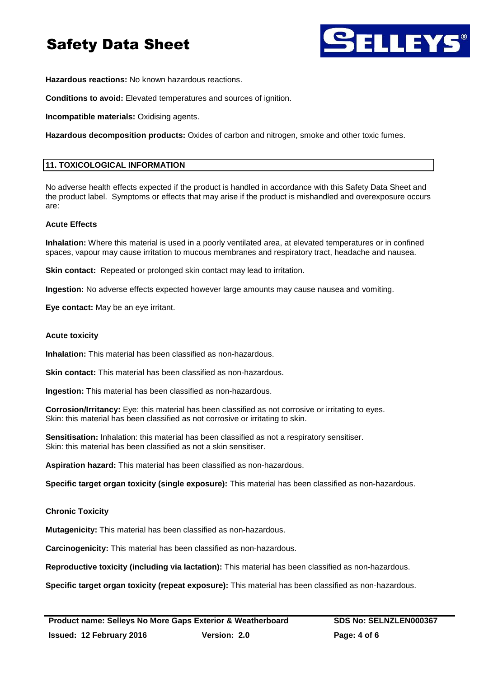

**Hazardous reactions:** No known hazardous reactions.

**Conditions to avoid:** Elevated temperatures and sources of ignition.

**Incompatible materials:** Oxidising agents.

**Hazardous decomposition products:** Oxides of carbon and nitrogen, smoke and other toxic fumes.

# **11. TOXICOLOGICAL INFORMATION**

No adverse health effects expected if the product is handled in accordance with this Safety Data Sheet and the product label. Symptoms or effects that may arise if the product is mishandled and overexposure occurs are:

# **Acute Effects**

**Inhalation:** Where this material is used in a poorly ventilated area, at elevated temperatures or in confined spaces, vapour may cause irritation to mucous membranes and respiratory tract, headache and nausea.

**Skin contact:** Repeated or prolonged skin contact may lead to irritation.

**Ingestion:** No adverse effects expected however large amounts may cause nausea and vomiting.

**Eye contact:** May be an eye irritant.

#### **Acute toxicity**

**Inhalation:** This material has been classified as non-hazardous.

**Skin contact:** This material has been classified as non-hazardous.

**Ingestion:** This material has been classified as non-hazardous.

**Corrosion/Irritancy:** Eye: this material has been classified as not corrosive or irritating to eyes. Skin: this material has been classified as not corrosive or irritating to skin.

**Sensitisation:** Inhalation: this material has been classified as not a respiratory sensitiser. Skin: this material has been classified as not a skin sensitiser.

**Aspiration hazard:** This material has been classified as non-hazardous.

**Specific target organ toxicity (single exposure):** This material has been classified as non-hazardous.

## **Chronic Toxicity**

**Mutagenicity:** This material has been classified as non-hazardous.

**Carcinogenicity:** This material has been classified as non-hazardous.

**Reproductive toxicity (including via lactation):** This material has been classified as non-hazardous.

**Specific target organ toxicity (repeat exposure):** This material has been classified as non-hazardous.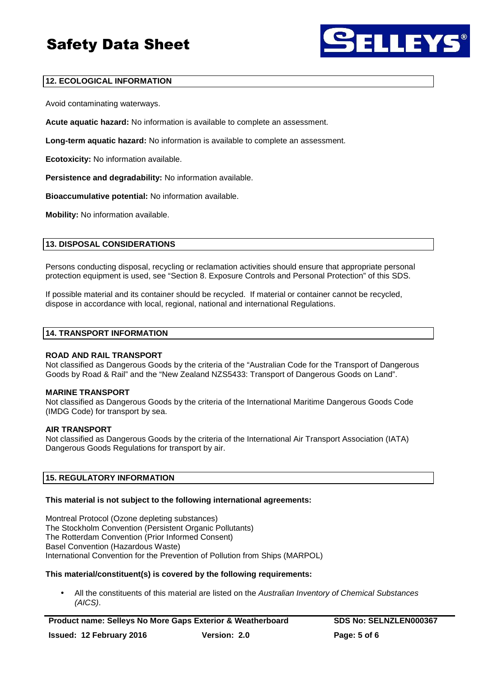

# **12. ECOLOGICAL INFORMATION**

Avoid contaminating waterways.

**Acute aquatic hazard:** No information is available to complete an assessment.

**Long-term aquatic hazard:** No information is available to complete an assessment.

**Ecotoxicity:** No information available.

**Persistence and degradability:** No information available.

**Bioaccumulative potential:** No information available.

**Mobility:** No information available.

# **13. DISPOSAL CONSIDERATIONS**

Persons conducting disposal, recycling or reclamation activities should ensure that appropriate personal protection equipment is used, see "Section 8. Exposure Controls and Personal Protection" of this SDS.

If possible material and its container should be recycled. If material or container cannot be recycled, dispose in accordance with local, regional, national and international Regulations.

# **14. TRANSPORT INFORMATION**

## **ROAD AND RAIL TRANSPORT**

Not classified as Dangerous Goods by the criteria of the "Australian Code for the Transport of Dangerous Goods by Road & Rail" and the "New Zealand NZS5433: Transport of Dangerous Goods on Land".

## **MARINE TRANSPORT**

Not classified as Dangerous Goods by the criteria of the International Maritime Dangerous Goods Code (IMDG Code) for transport by sea.

## **AIR TRANSPORT**

Not classified as Dangerous Goods by the criteria of the International Air Transport Association (IATA) Dangerous Goods Regulations for transport by air.

## **15. REGULATORY INFORMATION**

## **This material is not subject to the following international agreements:**

Montreal Protocol (Ozone depleting substances) The Stockholm Convention (Persistent Organic Pollutants) The Rotterdam Convention (Prior Informed Consent) Basel Convention (Hazardous Waste) International Convention for the Prevention of Pollution from Ships (MARPOL)

## **This material/constituent(s) is covered by the following requirements:**

All the constituents of this material are listed on the Australian Inventory of Chemical Substances (AICS).

**Product name: Selleys No More Gaps Exterior & Weatherboard SDS No: SELNZLEN000367 Issued: 12 February 2016 Version: 2.0 Page: 5 of 6**